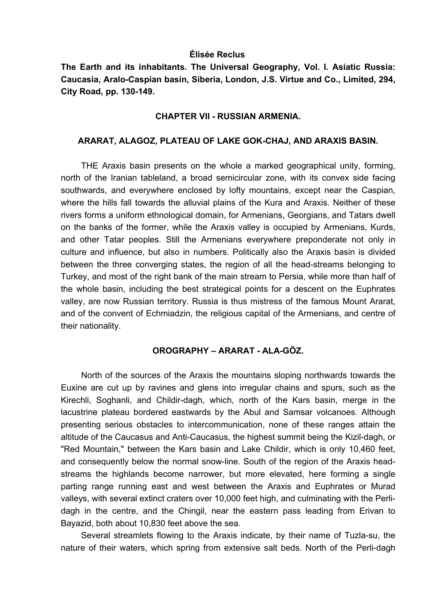#### **Élisée Reclus**

**The Earth and its inhabitants. The Universal Geography, Vol. I. Asiatic Russia: Caucasia, Aralo-Caspian basin, Siberia, London, J.S. Virtue and Co., Limited, 294, City Road, pp. 130-149.** 

#### **CHAPTER VII - RUSSIAN ARMENIA.**

#### **ARARAT, ALAGOZ, PLATEAU OF LAKE GOK-CHAJ, AND ARAXIS BASIN.**

THE Araxis basin presents on the whole a marked geographical unity, forming, north of the Iranian tableland, a broad semicircular zone, with its convex side facing southwards, and everywhere enclosed by lofty mountains, except near the Caspian, where the hills fall towards the alluvial plains of the Kura and Araxis. Neither of these rivers forms a uniform ethnological domain, for Armenians, Georgians, and Tatars dwell on the banks of the former, while the Araxis valley is occupied by Armenians, Kurds, and other Tatar peoples. Still the Armenians everywhere preponderate not only in culture and influence, but also in numbers. Politically also the Araxis basin is divided between the three converging states, the region of all the head-streams belonging to Turkey, and most of the right bank of the main stream to Persia, while more than half of the whole basin, including the best strategical points for a descent on the Euphrates valley, are now Russian territory. Russia is thus mistress of the famous Mount Ararat, and of the convent of Echmiadzin, the religious capital of the Armenians, and centre of their nationality.

## **OROGRAPHY – ARARAT - ALA-GÖZ.**

North of the sources of the Araxis the mountains sloping northwards towards the Euxine are cut up by ravines and glens into irregular chains and spurs, such as the Kirechli, Soghanli, and Childir-dagh, which, north of the Kars basin, merge in the lacustrine plateau bordered eastwards by the Abul and Samsar volcanoes. Although presenting serious obstacles to intercommunication, none of these ranges attain the altitude of the Caucasus and Anti-Caucasus, the highest summit being the Kizil-dagh, or "Red Mountain," between the Kars basin and Lake Childir, which is only 10,460 feet, and consequently below the normal snow-line. South of the region of the Araxis headstreams the highlands become narrower, but more elevated, here forming a single parting range running east and west between the Araxis and Euphrates or Murad valleys, with several extinct craters over 10,000 feet high, and culminating with the Perlidagh in the centre, and the Chingil, near the eastern pass leading from Erivan to Bayazid, both about 10,830 feet above the sea.

Several streamlets flowing to the Araxis indicate, by their name of Tuzla-su, the nature of their waters, which spring from extensive salt beds. North of the Perli-dagh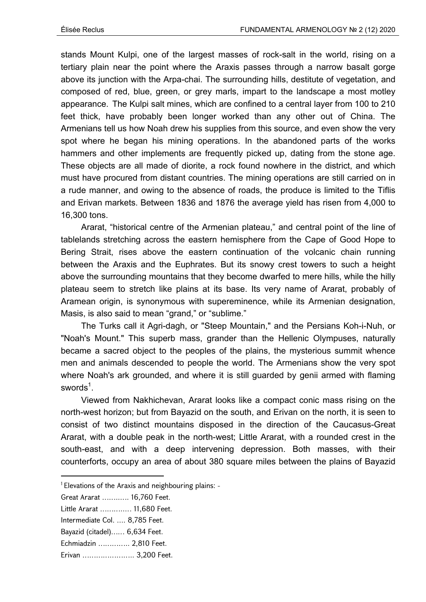stands Mount Kulpi, one of the largest masses of rock-salt in the world, rising on a tertiary plain near the point where the Araxis passes through a narrow basalt gorge above its junction with the Arpa-chai. The surrounding hills, destitute of vegetation, and composed of red, blue, green, or grey marls, impart to the landscape a most motley appearance. The Kulpi salt mines, which are confined to a central layer from 100 to 210 feet thick, have probably been longer worked than any other out of China. The Armenians tell us how Noah drew his supplies from this source, and even show the very spot where he began his mining operations. In the abandoned parts of the works hammers and other implements are frequently picked up, dating from the stone age. These objects are all made of diorite, a rock found nowhere in the district, and which must have procured from distant countries. The mining operations are still carried on in a rude manner, and owing to the absence of roads, the produce is limited to the Tiflis and Erivan markets. Between 1836 and 1876 the average yield has risen from 4,000 to 16,300 tons.

Ararat, "historical centre of the Armenian plateau," and central point of the line of tablelands stretching across the eastern hemisphere from the Cape of Good Hope to Bering Strait, rises above the eastern continuation of the volcanic chain running between the Araxis and the Euphrates. But its snowy crest towers to such a height above the surrounding mountains that they become dwarfed to mere hills, while the hilly plateau seem to stretch like plains at its base. Its very name of Ararat, probably of Aramean origin, is synonymous with supereminence, while its Armenian designation, Masis, is also said to mean "grand," or "sublime."

The Turks call it Agri-dagh, or "Steep Mountain," and the Persians Koh-i-Nuh, or "Noah's Mount." This superb mass, grander than the Hellenic Olympuses, naturally became a sacred object to the peoples of the plains, the mysterious summit whence men and animals descended to people the world. The Armenians show the very spot where Noah's ark grounded, and where it is still guarded by genii armed with flaming swords $^1$ .

Viewed from Nakhichevan, Ararat looks like a compact conic mass rising on the north-west horizon; but from Bayazid on the south, and Erivan on the north, it is seen to consist of two distinct mountains disposed in the direction of the Caucasus-Great Ararat, with a double peak in the north-west; Little Ararat, with a rounded crest in the south-east, and with a deep intervening depression. Both masses, with their counterforts, occupy an area of about 380 square miles between the plains of Bayazid

- Little Ararat ………..… 11,680 Feet.
- Intermediate Col. .... 8,785 Feet.
- Bayazid (citadel)…… 6,634 Feet.
- Echmiadzin ………….. 2,810 Feet.
- Erivan ………………….. 3,200 Feet.

 $1$  Elevations of the Araxis and neighbouring plains:  $-$ 

Great Ararat ……..…. 16,760 Feet.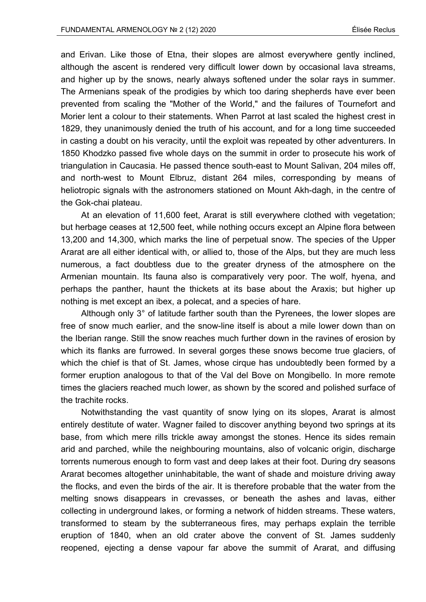and Erivan. Like those of Etna, their slopes are almost everywhere gently inclined, although the ascent is rendered very difficult lower down by occasional lava streams, and higher up by the snows, nearly always softened under the solar rays in summer. The Armenians speak of the prodigies by which too daring shepherds have ever been prevented from scaling the "Mother of the World," and the failures of Tournefort and Morier lent a colour to their statements. When Parrot at last scaled the highest crest in 1829, they unanimously denied the truth of his account, and for a long time succeeded in casting a doubt on his veracity, until the exploit was repeated by other adventurers. In 1850 Khodzko passed five whole days on the summit in order to prosecute his work of triangulation in Caucasia. He passed thence south-east to Mount Salivan, 204 miles off, and north-west to Mount Elbruz, distant 264 miles, corresponding by means of heliotropic signals with the astronomers stationed on Mount Akh-dagh, in the centre of the Gok-chai plateau.

At an elevation of 11,600 feet, Ararat is still everywhere clothed with vegetation; but herbage ceases at 12,500 feet, while nothing occurs except an Alpine flora between 13,200 and 14,300, which marks the line of perpetual snow. The species of the Upper Ararat are all either identical with, or allied to, those of the Alps, but they are much less numerous, a fact doubtless due to the greater dryness of the atmosphere on the Armenian mountain. Its fauna also is comparatively very poor. The wolf, hyena, and perhaps the panther, haunt the thickets at its base about the Araxis; but higher up nothing is met except an ibex, a polecat, and a species of hare.

Although only 3° of latitude farther south than the Pyrenees, the lower slopes are free of snow much earlier, and the snow-line itself is about a mile lower down than on the Iberian range. Still the snow reaches much further down in the ravines of erosion by which its flanks are furrowed. In several gorges these snows become true glaciers, of which the chief is that of St. James, whose cirque has undoubtedly been formed by a former eruption analogous to that of the Val del Bove on Mongibello. In more remote times the glaciers reached much lower, as shown by the scored and polished surface of the trachite rocks.

Notwithstanding the vast quantity of snow lying on its slopes, Ararat is almost entirely destitute of water. Wagner failed to discover anything beyond two springs at its base, from which mere rills trickle away amongst the stones. Hence its sides remain arid and parched, while the neighbouring mountains, also of volcanic origin, discharge torrents numerous enough to form vast and deep lakes at their foot. During dry seasons Ararat becomes altogether uninhabitable, the want of shade and moisture driving away the flocks, and even the birds of the air. It is therefore probable that the water from the melting snows disappears in crevasses, or beneath the ashes and lavas, either collecting in underground lakes, or forming a network of hidden streams. These waters, transformed to steam by the subterraneous fires, may perhaps explain the terrible eruption of 1840, when an old crater above the convent of St. James suddenly reopened, ejecting a dense vapour far above the summit of Ararat, and diffusing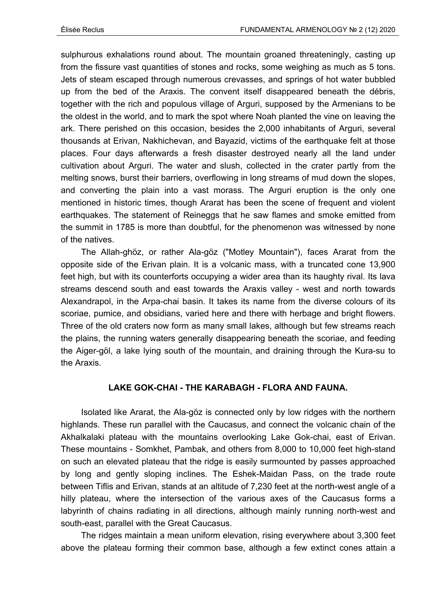sulphurous exhalations round about. The mountain groaned threateningly, casting up from the fissure vast quantities of stones and rocks, some weighing as much as 5 tons. Jets of steam escaped through numerous crevasses, and springs of hot water bubbled up from the bed of the Araxis. The convent itself disappeared beneath the débris, together with the rich and populous village of Arguri, supposed by the Armenians to be the oldest in the world, and to mark the spot where Noah planted the vine on leaving the ark. There perished on this occasion, besides the 2,000 inhabitants of Arguri, several thousands at Erivan, Nakhichevan, and Bayazid, victims of the earthquake felt at those places. Four days afterwards a fresh disaster destroyed nearly all the land under cultivation about Arguri. The water and slush, collected in the crater partly from the melting snows, burst their barriers, overflowing in long streams of mud down the slopes, and converting the plain into a vast morass. The Arguri eruption is the only one mentioned in historic times, though Ararat has been the scene of frequent and violent earthquakes. The statement of Reineggs that he saw flames and smoke emitted from the summit in 1785 is more than doubtful, for the phenomenon was witnessed by none of the natives.

The Allah-ghöz, or rather Ala-göz ("Motley Mountain"), faces Ararat from the opposite side of the Erivan plain. It is a volcanic mass, with a truncated cone 13,900 feet high, but with its counterforts occupying a wider area than its haughty rival. Its lava streams descend south and east towards the Araxis valley - west and north towards Alexandrapol, in the Arpa-chai basin. It takes its name from the diverse colours of its scoriae, pumice, and obsidians, varied here and there with herbage and bright flowers. Three of the old craters now form as many small lakes, although but few streams reach the plains, the running waters generally disappearing beneath the scoriae, and feeding the Aiger-göl, a lake lying south of the mountain, and draining through the Kura-su to the Araxis.

### **LAKE GOK-CHAI - THE KARABAGH - FLORA AND FAUNA.**

Isolated like Ararat, the Ala-göz is connected only by low ridges with the northern highlands. These run parallel with the Caucasus, and connect the volcanic chain of the Akhalkalaki plateau with the mountains overlooking Lake Gok-chai, east of Erivan. These mountains - Somkhet, Pambak, and others from 8,000 to 10,000 feet high-stand on such an elevated plateau that the ridge is easily surmounted by passes approached by long and gently sloping inclines. The Eshek-Maidan Pass, on the trade route between Tiflis and Erivan, stands at an altitude of 7,230 feet at the north-west angle of a hilly plateau, where the intersection of the various axes of the Caucasus forms a labyrinth of chains radiating in all directions, although mainly running north-west and south-east, parallel with the Great Caucasus.

The ridges maintain a mean uniform elevation, rising everywhere about 3,300 feet above the plateau forming their common base, although a few extinct cones attain a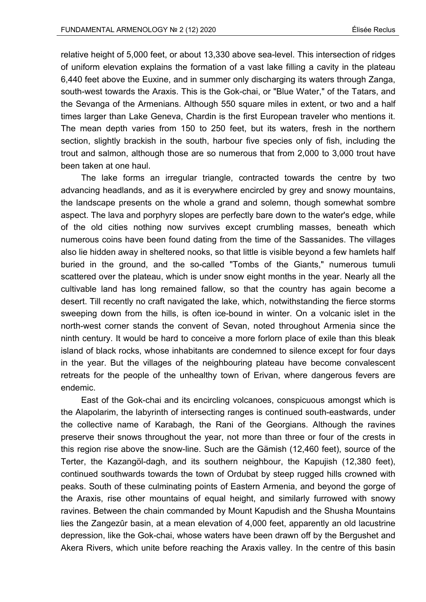relative height of 5,000 feet, or about 13,330 above sea-level. This intersection of ridges of uniform elevation explains the formation of a vast lake filling a cavity in the plateau 6,440 feet above the Euxine, and in summer only discharging its waters through Zanga, south-west towards the Araxis. This is the Gok-chai, or "Blue Water," of the Tatars, and the Sevanga of the Armenians. Although 550 square miles in extent, or two and a half times larger than Lake Geneva, Chardin is the first European traveler who mentions it. The mean depth varies from 150 to 250 feet, but its waters, fresh in the northern section, slightly brackish in the south, harbour five species only of fish, including the trout and salmon, although those are so numerous that from 2,000 to 3,000 trout have been taken at one haul.

The lake forms an irregular triangle, contracted towards the centre by two advancing headlands, and as it is everywhere encircled by grey and snowy mountains, the landscape presents on the whole a grand and solemn, though somewhat sombre aspect. The lava and porphyry slopes are perfectly bare down to the water's edge, while of the old cities nothing now survives except crumbling masses, beneath which numerous coins have been found dating from the time of the Sassanides. The villages also lie hidden away in sheltered nooks, so that little is visible beyond a few hamlets half buried in the ground, and the so-called "Tombs of the Giants," numerous tumuli scattered over the plateau, which is under snow eight months in the year. Nearly all the cultivable land has long remained fallow, so that the country has again become a desert. Till recently no craft navigated the lake, which, notwithstanding the fierce storms sweeping down from the hills, is often ice-bound in winter. On a volcanic islet in the north-west corner stands the convent of Sevan, noted throughout Armenia since the ninth century. It would be hard to conceive a more forlorn place of exile than this bleak island of black rocks, whose inhabitants are condemned to silence except for four days in the year. But the villages of the neighbouring plateau have become convalescent retreats for the people of the unhealthy town of Erivan, where dangerous fevers are endemic.

East of the Gok-chai and its encircling volcanoes, conspicuous amongst which is the Alapolarim, the labyrinth of intersecting ranges is continued south-eastwards, under the collective name of Karabagh, the Rani of the Georgians. Although the ravines preserve their snows throughout the year, not more than three or four of the crests in this region rise above the snow-line. Such are the Gämish (12,460 feet), source of the Terter, the Kazangöl-dagh, and its southern neighbour, the Kapujish (12,380 feet), continued southwards towards the town of Ordubat by steep rugged hills crowned with peaks. South of these culminating points of Eastern Armenia, and beyond the gorge of the Araxis, rise other mountains of equal height, and similarly furrowed with snowy ravines. Between the chain commanded by Mount Kapudish and the Shusha Mountains lies the Zangezûr basin, at a mean elevation of 4,000 feet, apparently an old lacustrine depression, like the Gok-chai, whose waters have been drawn off by the Bergushet and Akera Rivers, which unite before reaching the Araxis valley. In the centre of this basin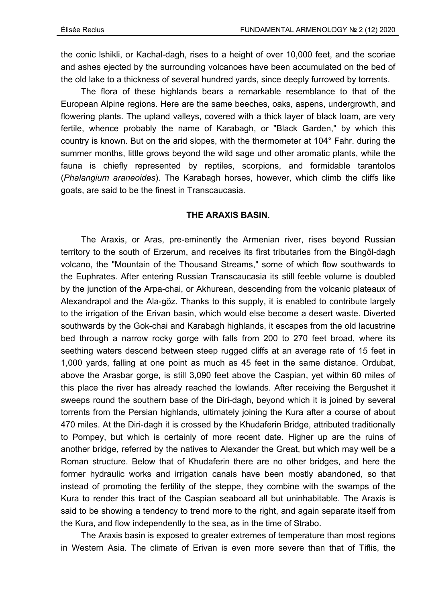the conic lshikli, or Kachal-dagh, rises to a height of over 10,000 feet, and the scoriae and ashes ejected by the surrounding volcanoes have been accumulated on the bed of the old lake to a thickness of several hundred yards, since deeply furrowed by torrents.

The flora of these highlands bears a remarkable resemblance to that of the European Alpine regions. Here are the same beeches, oaks, aspens, undergrowth, and flowering plants. The upland valleys, covered with a thick layer of black loam, are very fertile, whence probably the name of Karabagh, or "Black Garden," by which this country is known. But on the arid slopes, with the thermometer at 104° Fahr. during the summer months, little grows beyond the wild sage und other aromatic plants, while the fauna is chiefly represented by reptiles, scorpions, and formidable tarantolos (*Phalangium araneoides*). The Karabagh horses, however, which climb the cliffs like goats, are said to be the finest in Transcaucasia.

### **THE ARAXIS BASIN.**

The Araxis, or Aras, pre-eminently the Armenian river, rises beyond Russian territory to the south of Erzerum, and receives its first tributaries from the Bingöl-dagh volcano, the "Mountain of the Thousand Streams," some of which flow southwards to the Euphrates. After entering Russian Transcaucasia its still feeble volume is doubled by the junction of the Arpa-chai, or Akhurean, descending from the volcanic plateaux of Alexandrapol and the Ala-göz. Thanks to this supply, it is enabled to contribute largely to the irrigation of the Erivan basin, which would else become a desert waste. Diverted southwards by the Gok-chai and Karabagh highlands, it escapes from the old lacustrine bed through a narrow rocky gorge with falls from 200 to 270 feet broad, where its seething waters descend between steep rugged cliffs at an average rate of 15 feet in 1,000 yards, falling at one point as much as 45 feet in the same distance. Ordubat, above the Arasbar gorge, is still 3,090 feet above the Caspian, yet within 60 miles of this place the river has already reached the lowlands. After receiving the Bergushet it sweeps round the southern base of the Diri-dagh, beyond which it is joined by several torrents from the Persian highlands, ultimately joining the Kura after a course of about 470 miles. At the Diri-dagh it is crossed by the Khudaferin Bridge, attributed traditionally to Pompey, but which is certainly of more recent date. Higher up are the ruins of another bridge, referred by the natives to Alexander the Great, but which may well be a Roman structure. Below that of Khudaferin there are no other bridges, and here the former hydraulic works and irrigation canals have been mostly abandoned, so that instead of promoting the fertility of the steppe, they combine with the swamps of the Kura to render this tract of the Caspian seaboard all but uninhabitable. The Araxis is said to be showing a tendency to trend more to the right, and again separate itself from the Kura, and flow independently to the sea, as in the time of Strabo.

The Araxis basin is exposed to greater extremes of temperature than most regions in Western Asia. The climate of Erivan is even more severe than that of Tiflis, the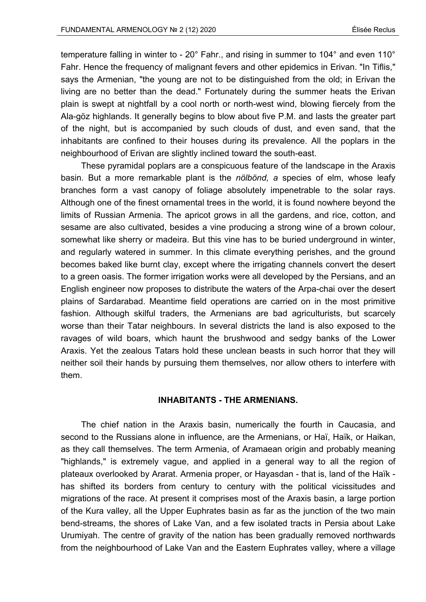temperature falling in winter to - 20° Fahr., and rising in summer to 104° and even 110° Fahr. Hence the frequency of malignant fevers and other epidemics in Erivan. "In Tiflis," says the Armenian, "the young are not to be distinguished from the old; in Erivan the living are no better than the dead." Fortunately during the summer heats the Erivan plain is swept at nightfall by a cool north or north-west wind, blowing fiercely from the Ala-göz highlands. It generally begins to blow about five P.M. and lasts the greater part of the night, but is accompanied by such clouds of dust, and even sand, that the inhabitants are confined to their houses during its prevalence. All the poplars in the neighbourhood of Erivan are slightly inclined toward the south-east.

These pyramidal poplars are a conspicuous feature of the landscape in the Araxis basin. But a more remarkable plant is the *nölbönd, a* species of elm, whose leafy branches form a vast canopy of foliage absolutely impenetrable to the solar rays. Although one of the finest ornamental trees in the world, it is found nowhere beyond the limits of Russian Armenia. The apricot grows in all the gardens, and rice, cotton, and sesame are also cultivated, besides a vine producing a strong wine of a brown colour, somewhat like sherry or madeira. But this vine has to be buried underground in winter, and regularly watered in summer. In this climate everything perishes, and the ground becomes baked like burnt clay, except where the irrigating channels convert the desert to a green oasis. The former irrigation works were all developed by the Persians, and an English engineer now proposes to distribute the waters of the Arpa-chai over the desert plains of Sardarabad. Meantime field operations are carried on in the most primitive fashion. Although skilful traders, the Armenians are bad agriculturists, but scarcely worse than their Tatar neighbours. In several districts the land is also exposed to the ravages of wild boars, which haunt the brushwood and sedgy banks of the Lower Araxis. Yet the zealous Tatars hold these unclean beasts in such horror that they will neither soil their hands by pursuing them themselves, nor allow others to interfere with them.

### **INHABITANTS - THE ARMENIANS.**

The chief nation in the Araxis basin, numerically the fourth in Caucasia, and second to the Russians alone in influence, are the Armenians, or Haï, Haïk, or Haikan, as they call themselves. The term Armenia, of Aramaean origin and probably meaning "highlands," is extremely vague, and applied in a general way to all the region of plateaux overlooked by Ararat. Armenia proper, or Hayasdan - that is, land of the Haïk has shifted its borders from century to century with the political vicissitudes and migrations of the race. At present it comprises most of the Araxis basin, a large portion of the Kura valley, all the Upper Euphrates basin as far as the junction of the two main bend-streams, the shores of Lake Van, and a few isolated tracts in Persia about Lake Urumiyah. The centre of gravity of the nation has been gradually removed northwards from the neighbourhood of Lake Van and the Eastern Euphrates valley, where a village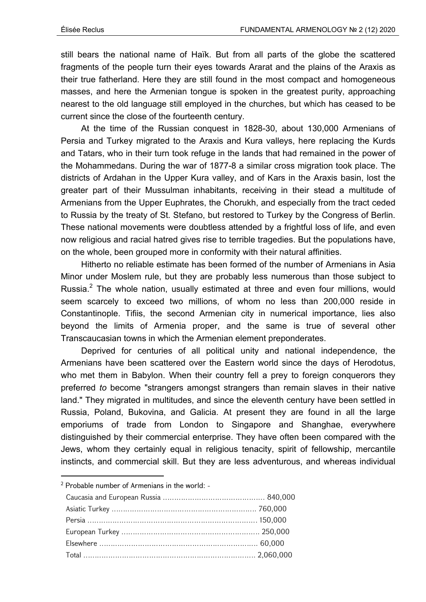still bears the national name of Haïk. But from all parts of the globe the scattered fragments of the people turn their eyes towards Ararat and the plains of the Araxis as their true fatherland. Here they are still found in the most compact and homogeneous masses, and here the Armenian tongue is spoken in the greatest purity, approaching nearest to the old language still employed in the churches, but which has ceased to be current since the close of the fourteenth century.

At the time of the Russian conquest in 1828-30, about 130,000 Armenians of Persia and Turkey migrated to the Araxis and Kura valleys, here replacing the Kurds and Tatars, who in their turn took refuge in the lands that had remained in the power of the Mohammedans. During the war of 1877-8 a similar cross migration took place. The districts of Ardahan in the Upper Kura valley, and of Kars in the Araxis basin, lost the greater part of their Mussulman inhabitants, receiving in their stead a multitude of Armenians from the Upper Euphrates, the Chorukh, and especially from the tract ceded to Russia by the treaty of St. Stefano, but restored to Turkey by the Congress of Berlin. These national movements were doubtless attended by a frightful loss of life, and even now religious and racial hatred gives rise to terrible tragedies. But the populations have, on the whole, been grouped more in conformity with their natural affinities.

Hitherto no reliable estimate has been formed of the number of Armenians in Asia Minor under Moslem rule, but they are probably less numerous than those subject to Russia.<sup>2</sup> The whole nation, usually estimated at three and even four millions, would seem scarcely to exceed two millions, of whom no less than 200,000 reside in Constantinople. Tifiis, the second Armenian city in numerical importance, lies also beyond the limits of Armenia proper, and the same is true of several other Transcaucasian towns in which the Armenian element preponderates.

Deprived for centuries of all political unity and national independence, the Armenians have been scattered over the Eastern world since the days of Herodotus, who met them in Babylon. When their country fell a prey to foreign conquerors they preferred *to* become "strangers amongst strangers than remain slaves in their native land." They migrated in multitudes, and since the eleventh century have been settled in Russia, Poland, Bukovina, and Galicia. At present they are found in all the large emporiums of trade from London to Singapore and Shanghae, everywhere distinguished by their commercial enterprise. They have often been compared with the Jews, whom they certainly equal in religious tenacity, spirit of fellowship, mercantile instincts, and commercial skill. But they are less adventurous, and whereas individual

<sup>&</sup>lt;sup>2</sup> Probable number of Armenians in the world: -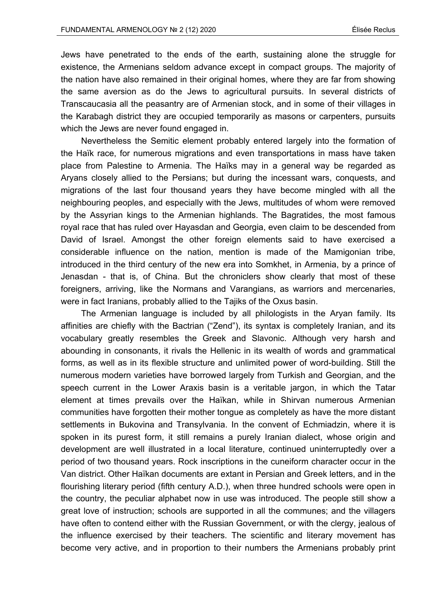Jews have penetrated to the ends of the earth, sustaining alone the struggle for existence, the Armenians seldom advance except in compact groups. The majority of the nation have also remained in their original homes, where they are far from showing the same aversion as do the Jews to agricultural pursuits. In several districts of Transcaucasia all the peasantry are of Armenian stock, and in some of their villages in the Karabagh district they are occupied temporarily as masons or carpenters, pursuits which the Jews are never found engaged in.

Nevertheless the Semitic element probably entered largely into the formation of the Haïk race, for numerous migrations and even transportations in mass have taken place from Palestine to Armenia. The Haïks may in a general way be regarded as Aryans closely allied to the Persians; but during the incessant wars, conquests, and migrations of the last four thousand years they have become mingled with all the neighbouring peoples, and especially with the Jews, multitudes of whom were removed by the Assyrian kings to the Armenian highlands. The Bagratides, the most famous royal race that has ruled over Hayasdan and Georgia, even claim to be descended from David of Israel. Amongst the other foreign elements said to have exercised a considerable influence on the nation, mention is made of the Mamigonian tribe, introduced in the third century of the new era into Somkhet, in Armenia, by a prince of Jenasdan - that is, of China. But the chroniclers show clearly that most of these foreigners, arriving, like the Normans and Varangians, as warriors and mercenaries, were in fact Iranians, probably allied to the Tajiks of the Oxus basin.

The Armenian language is included by all philologists in the Aryan family. Its affinities are chiefly with the Bactrian ("Zend"), its syntax is completely Iranian, and its vocabulary greatly resembles the Greek and Slavonic. Although very harsh and abounding in consonants, it rivals the Hellenic in its wealth of words and grammatical forms, as well as in its flexible structure and unlimited power of word-building. Still the numerous modern varieties have borrowed largely from Turkish and Georgian, and the speech current in the Lower Araxis basin is a veritable jargon, in which the Tatar element at times prevails over the Haïkan, while in Shirvan numerous Armenian communities have forgotten their mother tongue as completely as have the more distant settlements in Bukovina and Transylvania. In the convent of Echmiadzin, where it is spoken in its purest form, it still remains a purely Iranian dialect, whose origin and development are well illustrated in a local literature, continued uninterruptedly over a period of two thousand years. Rock inscriptions in the cuneiform character occur in the Van district. Other Haïkan documents are extant in Persian and Greek letters, and in the flourishing literary period (fifth century A.D.), when three hundred schools were open in the country, the peculiar alphabet now in use was introduced. The people still show a great love of instruction; schools are supported in all the communes; and the villagers have often to contend either with the Russian Government, or with the clergy, jealous of the influence exercised by their teachers. The scientific and literary movement has become very active, and in proportion to their numbers the Armenians probably print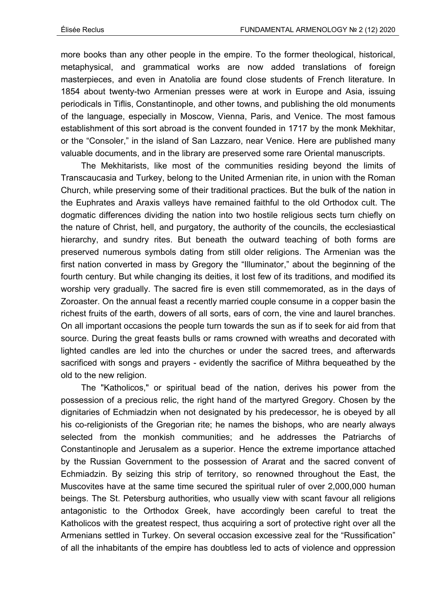more books than any other people in the empire. To the former theological, historical, metaphysical, and grammatical works are now added translations of foreign masterpieces, and even in Anatolia are found close students of French literature. In 1854 about twenty-two Armenian presses were at work in Europe and Asia, issuing periodicals in Tiflis, Constantinople, and other towns, and publishing the old monuments of the language, especially in Moscow, Vienna, Paris, and Venice. The most famous establishment of this sort abroad is the convent founded in 1717 by the monk Mekhitar, or the "Consoler," in the island of San Lazzaro, near Venice. Here are published many valuable documents, and in the library are preserved some rare Oriental manuscripts.

The Mekhitarists, like most of the communities residing beyond the limits of Transcaucasia and Turkey, belong to the United Armenian rite, in union with the Roman Church, while preserving some of their traditional practices. But the bulk of the nation in the Euphrates and Araxis valleys have remained faithful to the old Orthodox cult. The dogmatic differences dividing the nation into two hostile religious sects turn chiefly on the nature of Christ, hell, and purgatory, the authority of the councils, the ecclesiastical hierarchy, and sundry rites. But beneath the outward teaching of both forms are preserved numerous symbols dating from still older religions. The Armenian was the first nation converted in mass by Gregory the "Illuminator," about the beginning of the fourth century. But while changing its deities, it lost few of its traditions, and modified its worship very gradually. The sacred fire is even still commemorated, as in the days of Zoroaster. On the annual feast a recently married couple consume in a copper basin the richest fruits of the earth, dowers of all sorts, ears of corn, the vine and laurel branches. On all important occasions the people turn towards the sun as if to seek for aid from that source. During the great feasts bulls or rams crowned with wreaths and decorated with lighted candles are led into the churches or under the sacred trees, and afterwards sacrificed with songs and prayers - evidently the sacrifice of Mithra bequeathed by the old to the new religion.

The "Katholicos," or spiritual bead of the nation, derives his power from the possession of a precious relic, the right hand of the martyred Gregory. Chosen by the dignitaries of Echmiadzin when not designated by his predecessor, he is obeyed by all his co-religionists of the Gregorian rite; he names the bishops, who are nearly always selected from the monkish communities; and he addresses the Patriarchs of Constantinople and Jerusalem as a superior. Hence the extreme importance attached by the Russian Government to the possession of Ararat and the sacred convent of Echmiadzin. By seizing this strip of territory, so renowned throughout the East, the Muscovites have at the same time secured the spiritual ruler of over 2,000,000 human beings. The St. Petersburg authorities, who usually view with scant favour all religions antagonistic to the Orthodox Greek, have accordingly been careful to treat the Katholicos with the greatest respect, thus acquiring a sort of protective right over all the Armenians settled in Turkey. On several occasion excessive zeal for the "Russification" of all the inhabitants of the empire has doubtless led to acts of violence and oppression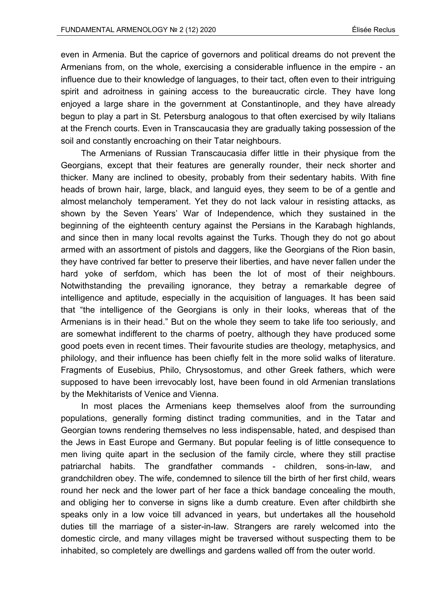even in Armenia. But the caprice of governors and political dreams do not prevent the Armenians from, on the whole, exercising a considerable influence in the empire - an influence due to their knowledge of languages, to their tact, often even to their intriguing spirit and adroitness in gaining access to the bureaucratic circle. They have long enjoyed a large share in the government at Constantinople, and they have already begun to play a part in St. Petersburg analogous to that often exercised by wily Italians at the French courts. Even in Transcaucasia they are gradually taking possession of the soil and constantly encroaching on their Tatar neighbours.

The Armenians of Russian Transcaucasia differ little in their physique from the Georgians, except that their features are generally rounder, their neck shorter and thicker. Many are inclined to obesity, probably from their sedentary habits. With fine heads of brown hair, large, black, and languid eyes, they seem to be of a gentle and almost melancholy temperament. Yet they do not lack valour in resisting attacks, as shown by the Seven Years' War of Independence, which they sustained in the beginning of the eighteenth century against the Persians in the Karabagh highlands, and since then in many local revolts against the Turks. Though they do not go about armed with an assortment of pistols and daggers, like the Georgians of the Rion basin, they have contrived far better to preserve their liberties, and have never fallen under the hard yoke of serfdom, which has been the lot of most of their neighbours. Notwithstanding the prevailing ignorance, they betray a remarkable degree of intelligence and aptitude, especially in the acquisition of languages. It has been said that "the intelligence of the Georgians is only in their looks, whereas that of the Armenians is in their head." But on the whole they seem to take life too seriously, and are somewhat indifferent to the charms of poetry, although they have produced some good poets even in recent times. Their favourite studies are theology, metaphysics, and philology, and their influence has been chiefly felt in the more solid walks of literature. Fragments of Eusebius, Philo, Chrysostomus, and other Greek fathers, which were supposed to have been irrevocably lost, have been found in old Armenian translations by the Mekhitarists of Venice and Vienna.

In most places the Armenians keep themselves aloof from the surrounding populations, generally forming distinct trading communities, and in the Tatar and Georgian towns rendering themselves no less indispensable, hated, and despised than the Jews in East Europe and Germany. But popular feeling is of little consequence to men living quite apart in the seclusion of the family circle, where they still practise patriarchal habits. The grandfather commands - children, sons-in-law, and grandchildren obey. The wife, condemned to silence till the birth of her first child, wears round her neck and the lower part of her face a thick bandage concealing the mouth, and obliging her to converse in signs like a dumb creature. Even after childbirth she speaks only in a low voice till advanced in years, but undertakes all the household duties till the marriage of a sister-in-law. Strangers are rarely welcomed into the domestic circle, and many villages might be traversed without suspecting them to be inhabited, so completely are dwellings and gardens walled off from the outer world.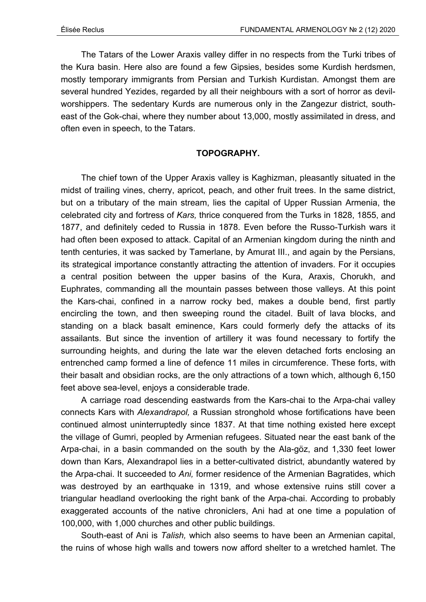The Tatars of the Lower Araxis valley differ in no respects from the Turki tribes of the Kura basin. Here also are found a few Gipsies, besides some Kurdish herdsmen, mostly temporary immigrants from Persian and Turkish Kurdistan. Amongst them are several hundred Yezides, regarded by all their neighbours with a sort of horror as devilworshippers. The sedentary Kurds are numerous only in the Zangezur district, southeast of the Gok-chai, where they number about 13,000, mostly assimilated in dress, and often even in speech, to the Tatars.

# **TOPOGRAPHY.**

The chief town of the Upper Araxis valley is Kaghizman, pleasantly situated in the midst of trailing vines, cherry, apricot, peach, and other fruit trees. In the same district, but on a tributary of the main stream, lies the capital of Upper Russian Armenia, the celebrated city and fortress of *Kars,* thrice conquered from the Turks in 1828, 1855, and 1877, and definitely ceded to Russia in 1878. Even before the Russo-Turkish wars it had often been exposed to attack. Capital of an Armenian kingdom during the ninth and tenth centuries, it was sacked by Tamerlane, by Amurat III., and again by the Persians, its strategical importance constantly attracting the attention of invaders. For it occupies a central position between the upper basins of the Kura, Araxis, Chorukh, and Euphrates, commanding all the mountain passes between those valleys. At this point the Kars-chai, confined in a narrow rocky bed, makes a double bend, first partly encircling the town, and then sweeping round the citadel. Built of lava blocks, and standing on a black basalt eminence, Kars could formerly defy the attacks of its assailants. But since the invention of artillery it was found necessary to fortify the surrounding heights, and during the late war the eleven detached forts enclosing an entrenched camp formed a line of defence 11 miles in circumference. These forts, with their basalt and obsidian rocks, are the only attractions of a town which, although 6,150 feet above sea-level, enjoys a considerable trade.

A carriage road descending eastwards from the Kars-chai to the Arpa-chai valley connects Kars with *Alexandrapol,* a Russian stronghold whose fortifications have been continued almost uninterruptedly since 1837. At that time nothing existed here except the village of Gumri, peopled by Armenian refugees. Situated near the east bank of the Arpa-chai, in a basin commanded on the south by the Ala-göz, and 1,330 feet lower down than Kars, Alexandrapol lies in a better-cultivated district, abundantly watered by the Arpa-chai. It succeeded to *Ani,* former residence of the Armenian Bagratides, which was destroyed by an earthquake in 1319, and whose extensive ruins still cover a triangular headland overlooking the right bank of the Arpa-chai. According to probably exaggerated accounts of the native chroniclers, Ani had at one time a population of 100,000, with 1,000 churches and other public buildings.

South-east of Ani is *Talish,* which also seems to have been an Armenian capital, the ruins of whose high walls and towers now afford shelter to a wretched hamlet. The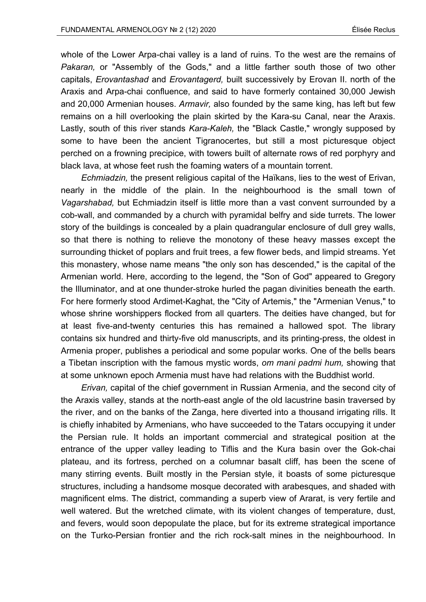whole of the Lower Arpa-chai valley is a land of ruins. To the west are the remains of *Pakaran,* or "Assembly of the Gods," and a little farther south those of two other capitals, *Erovantashad* and *Erovantagerd,* built successively by Erovan II. north of the Araxis and Arpa-chai confluence, and said to have formerly contained 30,000 Jewish and 20,000 Armenian houses. *Armavir,* also founded by the same king, has left but few remains on a hill overlooking the plain skirted by the Kara-su Canal, near the Araxis. Lastly, south of this river stands *Kara-Kaleh,* the "Black Castle," wrongly supposed by some to have been the ancient Tigranocertes, but still a most picturesque object perched on a frowning precipice, with towers built of alternate rows of red porphyry and black lava, at whose feet rush the foaming waters of a mountain torrent.

*Echmiadzin,* the present religious capital of the Haïkans, lies to the west of Erivan, nearly in the middle of the plain. In the neighbourhood is the small town of *Vagarshabad,* but Echmiadzin itself is little more than a vast convent surrounded by a cob-wall, and commanded by a church with pyramidal belfry and side turrets. The lower story of the buildings is concealed by a plain quadrangular enclosure of dull grey walls, so that there is nothing to relieve the monotony of these heavy masses except the surrounding thicket of poplars and fruit trees, a few flower beds, and limpid streams. Yet this monastery, whose name means "the only son has descended," is the capital of the Armenian world. Here, according to the legend, the "Son of God" appeared to Gregory the Illuminator, and at one thunder-stroke hurled the pagan divinities beneath the earth. For here formerly stood Ardimet-Kaghat, the "City of Artemis," the "Armenian Venus," to whose shrine worshippers flocked from all quarters. The deities have changed, but for at least five-and-twenty centuries this has remained a hallowed spot. The library contains six hundred and thirty-five old manuscripts, and its printing-press, the oldest in Armenia proper, publishes a periodical and some popular works. One of the bells bears a Tibetan inscription with the famous mystic words, *om mani padmi hum,* showing that at some unknown epoch Armenia must have had relations with the Buddhist world.

*Erivan,* capital of the chief government in Russian Armenia, and the second city of the Araxis valley, stands at the north-east angle of the old lacustrine basin traversed by the river, and on the banks of the Zanga, here diverted into a thousand irrigating rills. It is chiefly inhabited by Armenians, who have succeeded to the Tatars occupying it under the Persian rule. It holds an important commercial and strategical position at the entrance of the upper valley leading to Tiflis and the Kura basin over the Gok-chai plateau, and its fortress, perched on a columnar basalt cliff, has been the scene of many stirring events. Built mostly in the Persian style, it boasts of some picturesque structures, including a handsome mosque decorated with arabesques, and shaded with magnificent elms. The district, commanding a superb view of Ararat, is very fertile and well watered. But the wretched climate, with its violent changes of temperature, dust, and fevers, would soon depopulate the place, but for its extreme strategical importance on the Turko-Persian frontier and the rich rock-salt mines in the neighbourhood. In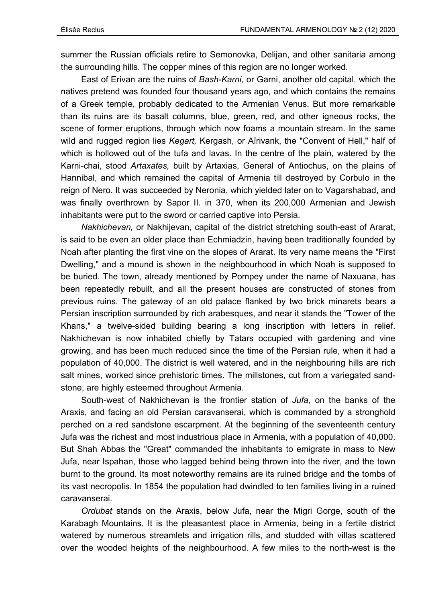summer the Russian officials retire to Semonovka, Delijan, and other sanitaria among the surrounding hills. The copper mines of this region are no longer worked.

East of Erivan are the ruins of *Bash-Karni,* or Garni, another old capital, which the natives pretend was founded four thousand years ago, and which contains the remains of a Greek temple, probably dedicated to the Armenian Venus. But more remarkable than its ruins are its basalt columns, blue, green, red, and other igneous rocks, the scene of former eruptions, through which now foams a mountain stream. In the same wild and rugged region lies *Kegart,* Kergash, or Aïrivank, the "Convent of Hell," half of which is hollowed out of the tufa and lavas. In the centre of the plain, watered by the Karni-chai, stood *Artaxates,* built by Artaxias, General of Antiochus, on the plains of Hannibal, and which remained the capital of Armenia till destroyed by Corbulo in the reign of Nero. It was succeeded by Neronia, which yielded later on to Vagarshabad, and was finally overthrown by Sapor II. in 370, when its 200,000 Armenian and Jewish inhabitants were put to the sword or carried captive into Persia.

*Nakhichevan,* or Nakhijevan, capital of the district stretching south-east of Ararat, is said to be even an older place than Echmiadzin, having been traditionally founded by Noah after planting the first vine on the slopes of Ararat. Its very name means the "First Dwelling," and a mound is shown in the neighbourhood in which Noah is supposed to be buried. The town, already mentioned by Pompey under the name of Naxuana, has been repeatedly rebuilt, and all the present houses are constructed of stones from previous ruins. The gateway of an old palace flanked by two brick minarets bears a Persian inscription surrounded by rich arabesques, and near it stands the "Tower of the Khans," a twelve-sided building bearing a long inscription with letters in relief. Nakhichevan is now inhabited chiefly by Tatars occupied with gardening and vine growing, and has been much reduced since the time of the Persian rule, when it had a population of 40,000. The district is well watered, and in the neighbouring hills are rich salt mines, worked since prehistoric times. The millstones, cut from a variegated sandstone, are highly esteemed throughout Armenia.

South-west of Nakhichevan is the frontier station of *Jufa,* on the banks of the Araxis, and facing an old Persian caravanserai, which is commanded by a stronghold perched on a red sandstone escarpment. At the beginning of the seventeenth century Jufa was the richest and most industrious place in Armenia, with a population of 40,000. But Shah Abbas the "Great" commanded the inhabitants to emigrate in mass to New Jufa, near Ispahan, those who lagged behind being thrown into the river, and the town burnt to the ground. Its most noteworthy remains are its ruined bridge and the tombs of its vast necropolis. In 1854 the population had dwindled to ten families living in a ruined caravanserai.

*Ordubat* stands on the Araxis, below Jufa, near the Migri Gorge, south of the Karabagh Mountains. It is the pleasantest place in Armenia, being in a fertile district watered by numerous streamlets and irrigation rills, and studded with villas scattered over the wooded heights of the neighbourhood. A few miles to the north-west is the